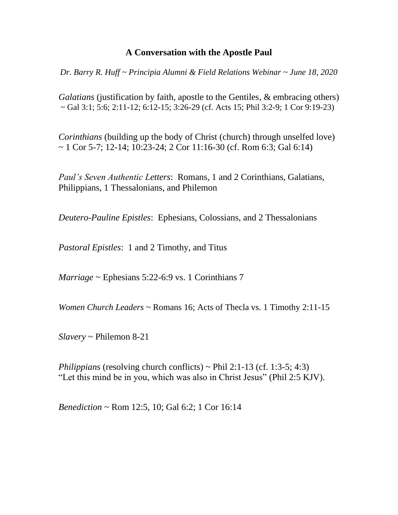## **A Conversation with the Apostle Paul**

*Dr. Barry R. Huff ~ Principia Alumni & Field Relations Webinar ~ June 18, 2020*

*Galatians* (justification by faith, apostle to the Gentiles, & embracing others)  $\sim$  Gal 3:1; 5:6; 2:11-12; 6:12-15; 3:26-29 (cf. Acts 15; Phil 3:2-9; 1 Cor 9:19-23)

*Corinthians* (building up the body of Christ (church) through unselfed love)  $\sim$  1 Cor 5-7; 12-14; 10:23-24; 2 Cor 11:16-30 (cf. Rom 6:3; Gal 6:14)

*Paul's Seven Authentic Letters*: Romans, 1 and 2 Corinthians, Galatians, Philippians, 1 Thessalonians, and Philemon

*Deutero-Pauline Epistles*:Ephesians, Colossians, and 2 Thessalonians

*Pastoral Epistles*:1 and 2 Timothy, and Titus

*Marriage* ~ Ephesians 5:22-6:9 vs. 1 Corinthians 7

*Women Church Leaders* ~ Romans 16; Acts of Thecla vs. 1 Timothy 2:11-15

*Slavery* ~ Philemon 8-21

*Philippians* (resolving church conflicts) ~ Phil 2:1-13 (cf. 1:3-5; 4:3) "Let this mind be in you, which was also in Christ Jesus" (Phil 2:5 KJV).

*Benediction* ~ Rom 12:5, 10; Gal 6:2; 1 Cor 16:14